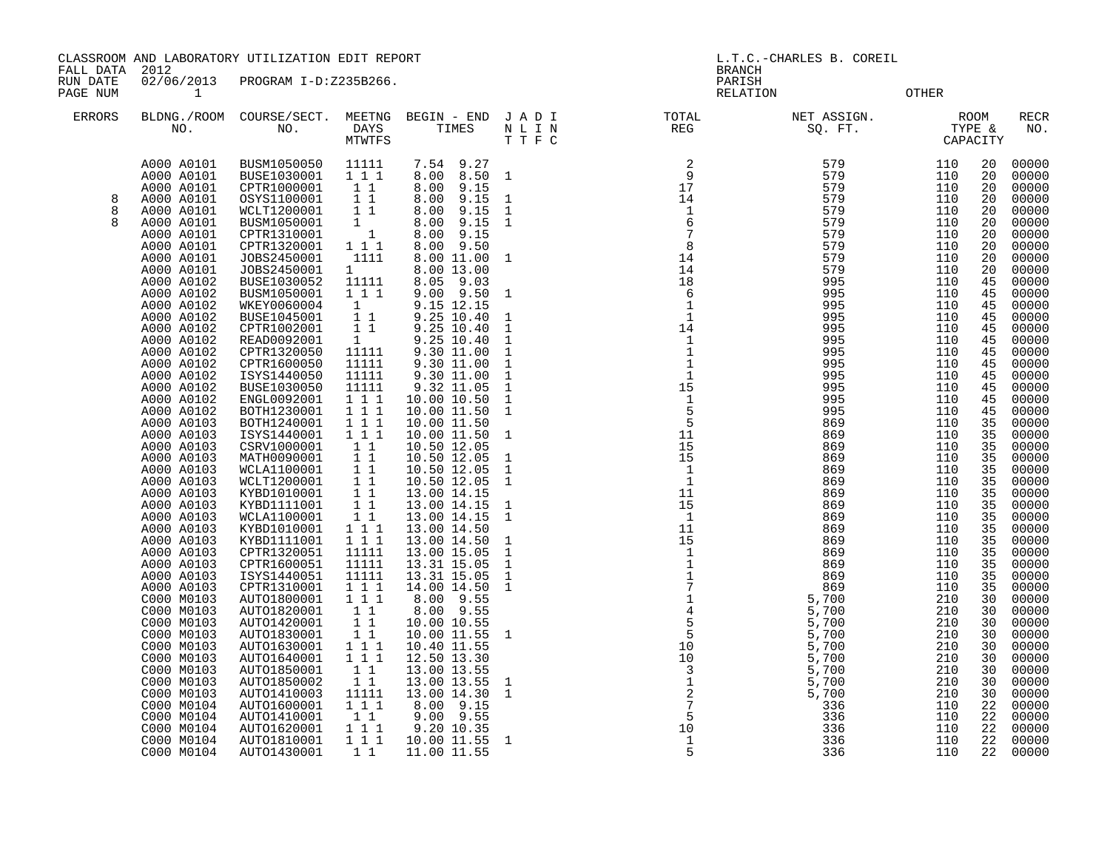CLASSROOM AND LABORATORY UTILIZATION EDIT REPORT AND REPORT AND L.T.C.-CHARLES B. COREIL

FALL DATA 2012 BRANCH

RUN DATE 02/06/2013 PROGRAM I-D:Z235B266.<br>PAGE NUM 1<br>PAGE NUM 1

PAGE NUMBER OTHER

| ERRORS | NO.        | BLDNG./ROOM COURSE/SECT.<br>NO. | MEETNG<br><b>DAYS</b><br><b>MTWTFS</b> | BEGIN - END<br>TIMES    | JADI<br>$\hbox{N}$ L I $\hbox{N}$<br>T T F C | TOTAL<br>$\mathop{\mathrm{REG}}$           | NET ASSIGN.<br>SQ. FT. |            | ROOM<br>TYPE &<br>CAPACITY | <b>RECR</b><br>NO. |
|--------|------------|---------------------------------|----------------------------------------|-------------------------|----------------------------------------------|--------------------------------------------|------------------------|------------|----------------------------|--------------------|
|        | A000 A0101 | BUSM1050050                     | 11111                                  | 7.54 9.27               |                                              | 2                                          | 579                    | 110        | 20                         | 00000              |
|        | A000 A0101 | BUSE1030001                     | 1 1 1                                  | 8.00 8.50               | $\mathbf{1}$                                 | -9                                         | 579                    | 110        | 20                         | 00000              |
|        | A000 A0101 | CPTR1000001                     | $1\quad1$                              | 9.15<br>8.00            |                                              | 17                                         | 579                    | 110        | 20                         | 00000              |
| 8      | A000 A0101 | OSYS1100001                     | $1\quad1$                              | 8.00<br>9.15            | 1                                            | 14                                         | 579                    | 110        | 20                         | 00000              |
| 8      | A000 A0101 | WCLT1200001                     | $1\quad1$                              | 9.15<br>8.00            | $\mathbf{1}$                                 | $\mathbf{1}$                               | 579                    | 110        | 20                         | 00000              |
|        | A000 A0101 | BUSM1050001                     | $1 \quad$                              | 9.15                    | 1                                            | 6                                          | 579                    | 110        | 20                         | 00000              |
|        | A000 A0101 | CPTR1310001                     | $\overline{1}$                         | 8.00<br>8.00 9.15       |                                              | $\overline{7}$                             | 579                    | 110        | 20                         | 00000              |
|        |            | CPTR1320001                     |                                        | 8.00 9.50               |                                              | 8                                          | 579                    |            | 20                         |                    |
|        | A000 A0101 | JOBS2450001                     | 1 1 1<br>1111                          |                         |                                              | 14                                         | 579                    | 110<br>110 |                            | 00000              |
|        | A000 A0101 |                                 | $1 \quad \blacksquare$                 | 8.00 11.00              | 1                                            |                                            |                        |            | 20                         | 00000              |
|        | A000 A0101 | JOBS2450001                     |                                        | 8.00 13.00<br>8.05 9.03 |                                              | 14                                         | 579                    | 110        | 20                         | 00000              |
|        | A000 A0102 | BUSE1030052<br>BUSM1050001      | 11111<br>1 1 1                         |                         |                                              | 18<br>6                                    | 995<br>995             | 110<br>110 | 45                         | 00000              |
|        | A000 A0102 |                                 |                                        | $9.00$ $9.50$           | $\mathbf{1}$                                 |                                            |                        |            | 45                         | 00000              |
|        | A000 A0102 | WKEY0060004                     | $1 \quad$                              | 9.15 12.15              |                                              | -1<br>1                                    | 995                    | 110        | 45                         | 00000              |
|        | A000 A0102 | BUSE1045001                     | $1\quad1$                              | 9.25 10.40              | $\mathbf{1}$                                 |                                            | 995                    | 110        | 45                         | 00000              |
|        | A000 A0102 | CPTR1002001                     | $1\quad1$                              | 9.25 10.40              | $\mathbf{1}$                                 | 14                                         | 995                    | 110        | 45                         | 00000              |
|        | A000 A0102 | READ0092001                     | 1                                      | 9.25 10.40              | $\mathbf{1}$                                 | $\mathbf{1}$<br>$\mathbf{1}$               | 995                    | 110        | 45                         | 00000              |
|        | A000 A0102 | CPTR1320050                     | 11111                                  | 9.30 11.00              | $\mathbf{1}$                                 |                                            | 995                    | 110        | 45                         | 00000              |
|        | A000 A0102 | CPTR1600050                     | 11111                                  | 9.30 11.00              | $\mathbf{1}$                                 | $\mathbf{1}$                               | 995                    | 110        | 45                         | 00000              |
|        | A000 A0102 | ISYS1440050                     | 11111                                  | 9.30 11.00              | $\mathbf{1}$                                 | 1                                          | 995                    | 110        | 45                         | 00000              |
|        | A000 A0102 | BUSE1030050                     | 11111                                  | 9.32 11.05              | $\mathbf{1}$                                 | 15                                         | 995                    | 110        | 45                         | 00000              |
|        | A000 A0102 | ENGL0092001                     | 1 1 1                                  | 10.00 10.50             | $\mathbf{1}$                                 | $\mathbf{1}$                               | 995                    | 110        | 45                         | 00000              |
|        | A000 A0102 | BOTH1230001                     | 111                                    | 10.00 11.50             | $\mathbf{1}$                                 | 5                                          | 995                    | 110        | 45                         | 00000              |
|        | A000 A0103 | BOTH1240001                     | 111                                    | 10.00 11.50             |                                              | -5                                         | 869                    | 110        | 35                         | 00000              |
|        | A000 A0103 | ISYS1440001                     | 1 1 1                                  | 10.00 11.50             | $\mathbf{1}$                                 | 11                                         | 869                    | 110        | 35                         | 00000              |
|        | A000 A0103 | CSRV1000001                     | $1\quad1$                              | 10.50 12.05             |                                              | 15                                         | 869                    | 110        | 35                         | 00000              |
|        | A000 A0103 | MATH0090001                     | $1\quad1$                              | 10.50 12.05             | $\mathbf 1$                                  | 15                                         | 869                    | 110        | 35                         | 00000              |
|        | A000 A0103 | WCLA1100001                     | $1\quad1$                              | 10.50 12.05             | $\mathbf{1}$                                 | 1                                          | 869                    | 110        | 35                         | 00000              |
|        | A000 A0103 | WCLT1200001                     | $1\quad1$                              | 10.50 12.05             | $\mathbf{1}$                                 | 1                                          | 869                    | 110        | 35                         | 00000              |
|        | A000 A0103 | KYBD1010001                     | 11                                     | 13.00 14.15             |                                              | 11                                         | 869                    | 110        | 35                         | 00000              |
|        | A000 A0103 | KYBD1111001                     | $1\quad1$                              | 13.00 14.15             | $\mathbf{1}$                                 | 15                                         | 869                    | 110        | 35                         | 00000              |
|        | A000 A0103 | WCLA1100001                     | $1\quad1$                              | 13.00 14.15             | $\mathbf{1}$                                 | <sup>1</sup>                               | 869                    | 110        | 35                         | 00000              |
|        | A000 A0103 | KYBD1010001                     | 1 1 1                                  | 13.00 14.50             |                                              | 11                                         | 869                    | 110        | 35                         | 00000              |
|        | A000 A0103 | KYBD1111001                     | 1 1 1                                  | 13.00 14.50             | $\mathbf{1}$                                 | 15                                         | 869                    | 110        | 35                         | 00000              |
|        | A000 A0103 | CPTR1320051                     | 11111                                  | 13.00 15.05             | $\mathbf{1}$                                 | 1                                          | 869                    | 110        | 35                         | 00000              |
|        | A000 A0103 | CPTR1600051                     | 11111                                  | 13.31 15.05             | $\mathbf{1}$                                 | $\mathbf{1}$                               | 869                    | 110        | 35                         | 00000              |
|        | A000 A0103 | ISYS1440051                     | 11111                                  | 13.31 15.05             | $\mathbf{1}$                                 | $\mathbf{1}$<br>$7\phantom{.0}$            | 869                    | 110        | 35                         | 00000              |
|        | A000 A0103 | CPTR1310001                     | 1 1 1                                  | 14.00 14.50             | $\mathbf{1}$                                 |                                            | 869                    | 110        | 35                         | 00000              |
|        | C000 M0103 | AUTO1800001                     | 1 1 1                                  | 8.00 9.55               |                                              | $\mathbf{1}$                               | 5,700                  | 210        | 30                         | 00000              |
|        | C000 M0103 | AUTO1820001                     | $1\quad1$                              | 8.00 9.55               |                                              | $\overline{4}$                             | 5,700                  | 210        | 30                         | 00000              |
|        | C000 M0103 | AUTO1420001                     | $1\quad1$                              | 10.00 10.55             |                                              | 5                                          | 5,700                  | 210        | 30                         | 00000              |
|        | C000 M0103 | AUTO1830001                     | $1\quad1$                              | 10.00 11.55             | $\mathbf{1}$                                 | - 5                                        | 5,700                  | 210        | 30                         | 00000              |
|        | C000 M0103 | AUTO1630001                     | 1 1 1                                  | 10.40 11.55             |                                              | 10                                         | 5,700                  | 210        | 30                         | 00000              |
|        | C000 M0103 | AUTO1640001                     | 1 1 1                                  | 12.50 13.30             |                                              | 10                                         | 5,700                  | 210        | 30                         | 00000              |
|        | C000 M0103 | AUTO1850001                     | 1 1                                    | 13.00 13.55             |                                              |                                            | 5,700                  | 210        | 30                         | 00000              |
|        | C000 M0103 | AUTO1850002                     | 1 1                                    | 13.00 13.55             | 1                                            | $\begin{array}{c} 3 \\ 1 \\ 2 \end{array}$ | 5,700                  | 210        | 30                         | 00000              |
|        | C000 M0103 | AUTO1410003                     | 11111                                  | 13.00 14.30             | $\mathbf{1}$                                 |                                            | 5,700                  | 210        | 30                         | 00000              |
|        | C000 M0104 | AUTO1600001                     | 1 1 1                                  | 8.00 9.15               |                                              |                                            | 336                    | 110        | 22                         | 00000              |
|        | C000 M0104 | AUTO1410001                     | 11                                     | $9.00$ $9.55$           |                                              | 5                                          | 336                    | 110        | 22                         | 00000              |
|        | C000 M0104 | AUTO1620001                     | 1 1 1                                  | 9.20 10.35              |                                              | 10                                         | 336                    | 110        | 22                         | 00000              |
|        | C000 M0104 | AUTO1810001                     | 1 1 1                                  | 10.00 11.55             | $\mathbf 1$                                  | $\mathbf{1}$                               | 336                    | 110        | 22                         | 00000              |
|        | C000 M0104 | AUTO1430001                     | $1\quad1$                              | 11.00 11.55             |                                              | 5                                          | 336                    | 110        | 22                         | 00000              |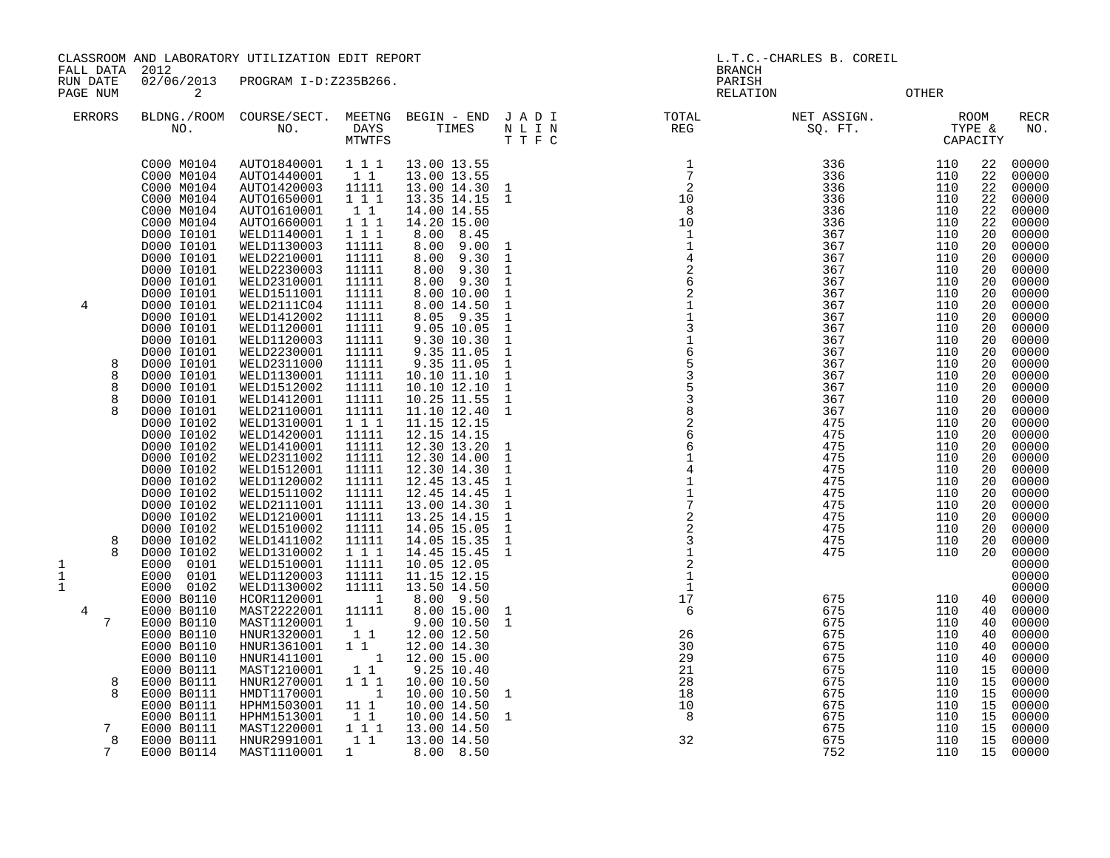CLASSROOM AND LABORATORY UTILIZATION EDIT REPORT AND STRIP OF THE REPORT THE L.T.C.-CHARLES B. COREIL

FALL DATA 2012 BRANCH

RUN DATE 02/06/2013 PROGRAM I-D:Z235B266.<br>PAGENUM 2

RELATION OTHER

| <b>ERRORS</b> | BLDNG./ROOM<br>NO.       | COURSE/SECT.<br>NO.        | MEETNG<br>DAYS<br>MTWTFS          | BEGIN - END<br>TIMES       | JADI<br>N L I N<br>TTFC | TOTAL<br>REG                                    | NET ASSIGN.<br>SQ. FT. | TYPE &     | <b>ROOM</b><br>CAPACITY | RECR<br>NO.    |
|---------------|--------------------------|----------------------------|-----------------------------------|----------------------------|-------------------------|-------------------------------------------------|------------------------|------------|-------------------------|----------------|
|               | C000 M0104               | AUTO1840001                | 1 1 1                             | 13.00 13.55                |                         | 1                                               | 336                    | 110        | 22                      | 00000          |
|               | C000 M0104               | AUTO1440001                | 1 1                               | 13.00 13.55                |                         | $7\phantom{.0}$                                 | 336                    | 110        | 22                      | 00000          |
|               | C000 M0104               | AUTO1420003                | 11111                             | 13.00 14.30                | 1                       | $\begin{array}{c}\n 7 \\ 2 \\ 10\n \end{array}$ | 336                    | 110        | 22                      | 00000          |
|               | C000 M0104               | AUTO1650001                | 1 1 1                             | 13.35 14.15                | 1                       | $_{\rm 8}$                                      | 336                    | 110        | 22                      | 00000          |
|               | C000 M0104<br>C000 M0104 | AUTO1610001<br>AUTO1660001 | 1 1<br>1 1 1                      | 14.00 14.55<br>14.20 15.00 |                         | 10                                              | 336<br>336             | 110<br>110 | 22<br>22                | 00000<br>00000 |
|               | D000 I0101               | WELD1140001                | 111                               | 8.00<br>8.45               |                         | $\mathbf{1}$                                    | 367                    | 110        | 20                      | 00000          |
|               | D000 I0101               | WELD1130003                | 11111                             | 8.00<br>9.00               | 1                       |                                                 | 367                    | 110        | 20                      | 00000          |
|               | D000 I0101               | WELD2210001                | 11111                             | 8.00<br>9.30               | $\mathbf{1}$            |                                                 | 367                    | 110        | 20                      | 00000          |
|               | D000 I0101               | WELD2230003                | 11111                             | 9.30<br>8.00               | $\mathbf{1}$            | $\frac{1}{4}$<br>$\frac{2}{6}$<br>2             | 367                    | 110        | 20                      | 00000          |
|               | D000 I0101               | WELD2310001                | 11111                             | 8.00<br>9.30               | $\mathbf 1$             |                                                 | 367                    | 110        | 20                      | 00000          |
|               | D000 I0101               | WELD1511001                | 11111                             | 8.00 10.00                 | 1                       |                                                 | 367                    | 110        | 20                      | 00000          |
| 4             | D000 I0101               | WELD2111C04                | 11111                             | 8.00 14.50                 | 1                       | $\mathbf 1$                                     | 367                    | 110        | 20                      | 00000          |
|               | D000 I0101               | WELD1412002                | 11111                             | 9.35<br>8.05               | 1                       | $\mathbf 1$                                     | 367                    | 110        | 20                      | 00000          |
|               | D000 I0101<br>D000 I0101 | WELD1120001<br>WELD1120003 | 11111                             | 9.05 10.05                 | 1<br>1                  |                                                 | 367                    | 110        | 20<br>20                | 00000          |
|               | D000 I0101               | WELD2230001                | 11111<br>11111                    | 9.30 10.30<br>9.35 11.05   | 1                       | 31653538                                        | 367<br>367             | 110<br>110 | 20                      | 00000<br>00000 |
|               | D000 I0101               | WELD2311000                | 11111                             | 9.35 11.05                 | 1                       |                                                 | 367                    | 110        | 20                      | 00000          |
| 8             | D000 I0101               | WELD1130001                | 11111                             | 10.10 11.10                | $\mathbf{1}$            |                                                 | 367                    | 110        | 20                      | 00000          |
| 8             | D000 I0101               | WELD1512002                | 11111                             | 10.10 12.10                | $\mathbf 1$             |                                                 | 367                    | 110        | 20                      | 00000          |
| 8             | D000 I0101               | WELD1412001                | 11111                             | 10.25 11.55                | $\mathbf 1$             |                                                 | 367                    | 110        | 20                      | 00000          |
|               | D000 I0101               | WELD2110001                | 11111                             | 11.10 12.40                | $\mathbf{1}$            |                                                 | 367                    | 110        | 20                      | 00000          |
|               | D000 I0102               | WELD1310001                | 111                               | 11.15 12.15                |                         | $\sqrt{2}$                                      | 475                    | 110        | 20                      | 00000          |
|               | D000 I0102               | WELD1420001                | 11111                             | 12.15 14.15                |                         | $\begin{array}{c} 6 \\ 6 \end{array}$           | 475                    | 110        | 20                      | 00000          |
|               | D000 I0102               | WELD1410001                | 11111                             | 12.30 13.20                | $\mathbf 1$             |                                                 | 475                    | 110        | 20                      | 00000          |
|               | D000 10102<br>D000 I0102 | WELD2311002                | 11111<br>11111                    | 12.30 14.00                | 1<br>1                  | $\mathbf 1$<br>$\,4$                            | 475<br>475             | 110<br>110 | 20<br>20                | 00000<br>00000 |
|               | D000 I0102               | WELD1512001<br>WELD1120002 | 11111                             | 12.30 14.30<br>12.45 13.45 | $\mathbf{1}$            |                                                 | 475                    | 110        | 20                      | 00000          |
|               | D000 10102               | WELD1511002                | 11111                             | 12.45 14.45                | $\mathbf{1}$            | $\begin{smallmatrix}1\\1\end{smallmatrix}$      | 475                    | 110        | 20                      | 00000          |
|               | D000 I0102               | WELD2111001                | 11111                             | 13.00 14.30                | $\mathbf{1}$            |                                                 | 475                    | 110        | 20                      | 00000          |
|               | D000 I0102               | WELD1210001                | 11111                             | 13.25 14.15                | $\mathbf{1}$            | $\begin{array}{c} 7 \\ 2 \\ 3 \\ 1 \end{array}$ | 475                    | 110        | 20                      | 00000          |
|               | D000 I0102               | WELD1510002                | 11111                             | 14.05 15.05                | $\mathbf{1}$            |                                                 | 475                    | 110        | 20                      | 00000          |
| 8             | D000 I0102               | WELD1411002                | 11111                             | 14.05 15.35                | $\mathbf{1}$            |                                                 | 475                    | 110        | 20                      | 00000          |
|               | D000 I0102               | WELD1310002                | 111                               | 14.45 15.45                | $\mathbf{1}$            |                                                 | 475                    | 110        | 20                      | 00000          |
| $\mathbf{1}$  | E000<br>0101             | WELD1510001                | 11111                             | 10.05 12.05                |                         | $\overline{a}$                                  |                        |            |                         | 00000          |
| $\mathbf 1$   | 0101<br>E000             | WELD1120003                | 11111                             | 11.15 12.15                |                         | $\mathbf{1}$                                    |                        |            |                         | 00000          |
| $\mathbf{1}$  | 0102<br>E000             | WELD1130002                | 11111<br>$\overline{\phantom{a}}$ | 13.50 14.50                |                         | $\mathbf{1}$<br>17                              | 675                    | 110        | 40                      | 00000<br>00000 |
|               | E000 B0110<br>E000 B0110 | HCOR1120001<br>MAST2222001 | 11111                             | 8.00 9.50<br>8.00 15.00    | 1                       | 6                                               | 675                    | 110        | 40                      | 00000          |
|               | E000 B0110               | MAST1120001                | $1 \quad$                         | 9.00 10.50                 | 1                       |                                                 | 675                    | 110        | 40                      | 00000          |
|               | E000 B0110               | HNUR1320001                | 1 1                               | 12.00 12.50                |                         | 26                                              | 675                    | 110        | 40                      | 00000          |
|               | E000 B0110               | HNUR1361001                | $1\quad1$                         | 12.00 14.30                |                         | 30                                              | 675                    | 110        | 40                      | 00000          |
|               | E000 B0110               | HNUR1411001                | $\overline{\phantom{a}}$          | 12.00 15.00                |                         | 29                                              | 675                    | 110        | 40                      | 00000          |
|               | E000 B0111               | MAST1210001                | 11                                | 9.25 10.40                 |                         | 21                                              | 675                    | 110        | 15                      | 00000          |
| 8             | E000 B0111               | HNUR1270001                | 1 1 1                             | 10.00 10.50                |                         | 28                                              | 675                    | 110        | 15                      | 00000          |
|               | E000 B0111               | HMDT1170001                | $\overline{\phantom{a}}$          | 10.00 10.50                | 1                       | 18                                              | 675                    | 110        | 15                      | 00000          |
|               | E000 B0111               | HPHM1503001                | 111                               | 10.00 14.50                |                         | 10                                              | 675                    | 110        | 15                      | 00000          |
| 7             | E000 B0111<br>E000 B0111 | HPHM1513001<br>MAST1220001 | 11<br>$1 1 1$                     | 10.00 14.50<br>13.00 14.50 | 1                       | 8                                               | 675<br>675             | 110<br>110 | 15<br>15                | 00000<br>00000 |
| 8             | E000 B0111               | HNUR2991001                | 1 1                               | 13.00 14.50                |                         | 32                                              | 675                    | 110        | 15                      | 00000          |
| 7             | E000 B0114               | MAST1110001                | 1                                 | 8.00 8.50                  |                         |                                                 | 752                    | 110        | 15                      | 00000          |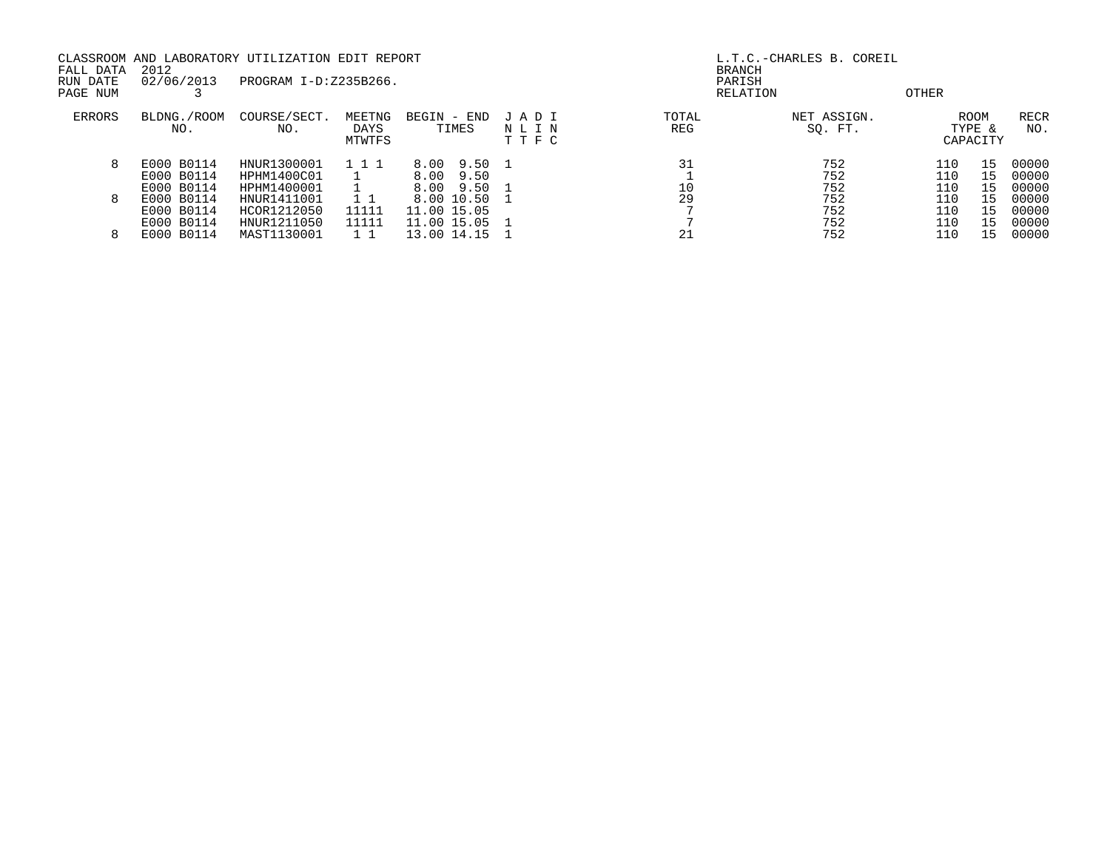CLASSROOM AND LABORATORY UTILIZATION EDIT REPORT AND STRIP HOLD CLASSROOM AND L.T.C.-CHARLES B. COREIL FALL DATA 2012 BRANCH RUN DATE 02/06/2013 PROGRAM I-D:Z235B266. PARISH PAGE NUM 3 RELATION OTHER ERRORS BLDNG./ROOM COURSE/SECT. MEETNG BEGIN - END J A D I TOTAL NET ASSIGN. ROOM RECR NO. NO. DAYS TIMES N L I N REG SQ. FT. TYPE & NO. MTWTFS T T F C CAPACITY 8 E000 B0114 HNUR1300001 1 1 1 8.00 9.50 1 31 752 110 15 00000 E000 B0114 HPHM1400C01 1 8.00 9.50 1 752 110 15 00000 E000 B0114 HPHM1400001 1 8.00 9.50 1 10 752 110 15 00000 8 E000 B0114 HNUR1411001 1 1 8.00 10.50 1 29 752 110 15 00000 E000 B0114 HCOR1212050 11111 11.00 15.05 7 752 110 15 00000 E000 B0114 HNUR1211050 11111 11.00 15.05 1 7 752 110 15 00000 8 E000 B0114 MAST1130001 1 1 13.00 14.15 1 21 752 110 15 00000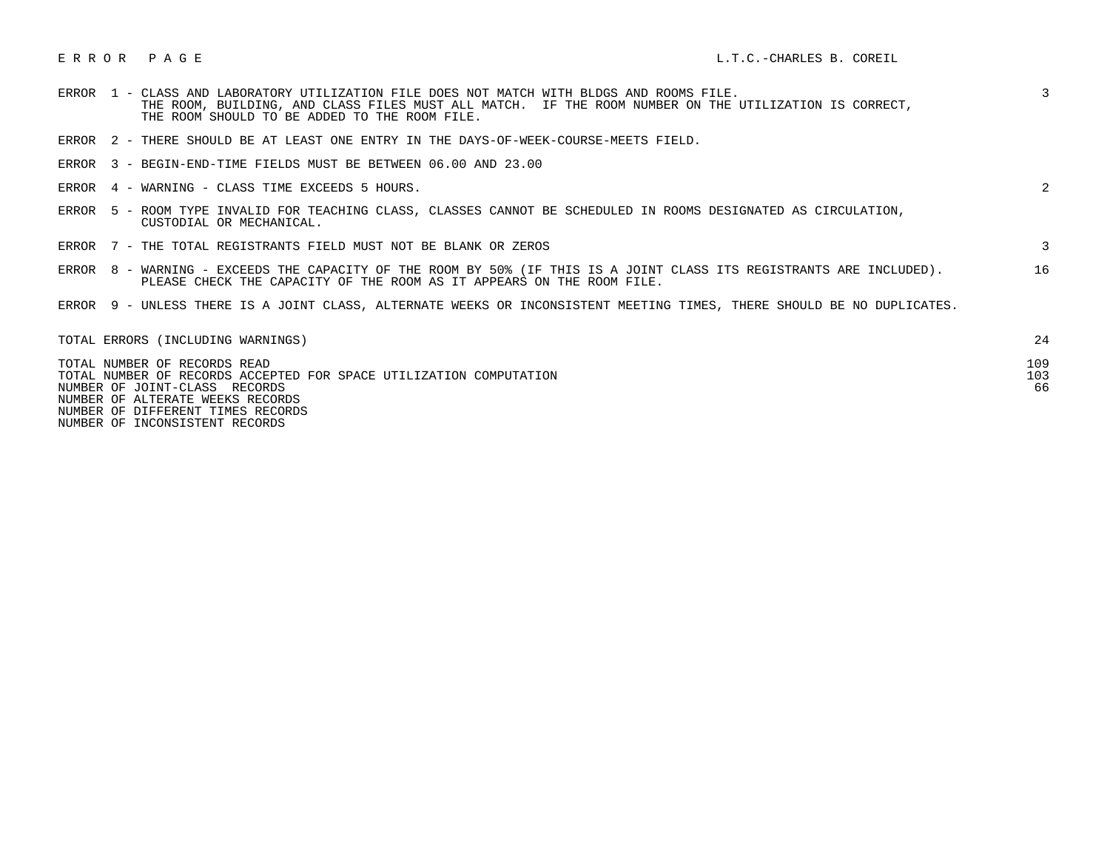|  | ERROR 1 - CLASS AND LABORATORY UTILIZATION FILE DOES NOT MATCH WITH BLDGS AND ROOMS FILE.<br>THE ROOM, BUILDING, AND CLASS FILES MUST ALL MATCH. IF THE ROOM NUMBER ON THE UTILIZATION IS CORRECT,<br>THE ROOM SHOULD TO BE ADDED TO THE ROOM FILE. | $\mathcal{E}$    |
|--|-----------------------------------------------------------------------------------------------------------------------------------------------------------------------------------------------------------------------------------------------------|------------------|
|  | ERROR 2 - THERE SHOULD BE AT LEAST ONE ENTRY IN THE DAYS-OF-WEEK-COURSE-MEETS FIELD.                                                                                                                                                                |                  |
|  | ERROR 3 - BEGIN-END-TIME FIELDS MUST BE BETWEEN 06.00 AND 23.00                                                                                                                                                                                     |                  |
|  | ERROR 4 - WARNING - CLASS TIME EXCEEDS 5 HOURS.                                                                                                                                                                                                     | 2                |
|  | ERROR 5 - ROOM TYPE INVALID FOR TEACHING CLASS, CLASSES CANNOT BE SCHEDULED IN ROOMS DESIGNATED AS CIRCULATION,<br>CUSTODIAL OR MECHANICAL.                                                                                                         |                  |
|  | ERROR 7 - THE TOTAL REGISTRANTS FIELD MUST NOT BE BLANK OR ZEROS                                                                                                                                                                                    | 3                |
|  | ERROR 8 - WARNING - EXCEEDS THE CAPACITY OF THE ROOM BY 50% (IF THIS IS A JOINT CLASS ITS REGISTRANTS ARE INCLUDED).<br>PLEASE CHECK THE CAPACITY OF THE ROOM AS IT APPEARS ON THE ROOM FILE.                                                       | 16               |
|  | ERROR 9 - UNLESS THERE IS A JOINT CLASS, ALTERNATE WEEKS OR INCONSISTENT MEETING TIMES, THERE SHOULD BE NO DUPLICATES.                                                                                                                              |                  |
|  | TOTAL ERRORS (INCLUDING WARNINGS)                                                                                                                                                                                                                   | 24               |
|  | TOTAL NUMBER OF RECORDS READ<br>TOTAL NUMBER OF RECORDS ACCEPTED FOR SPACE UTILIZATION COMPUTATION<br>NUMBER OF JOINT-CLASS RECORDS                                                                                                                 | 109<br>103<br>66 |

NUMBER OF ALTERATE WEEKS RECORDS

NUMBER OF DIFFERENT TIMES RECORDS

NUMBER OF INCONSISTENT RECORDS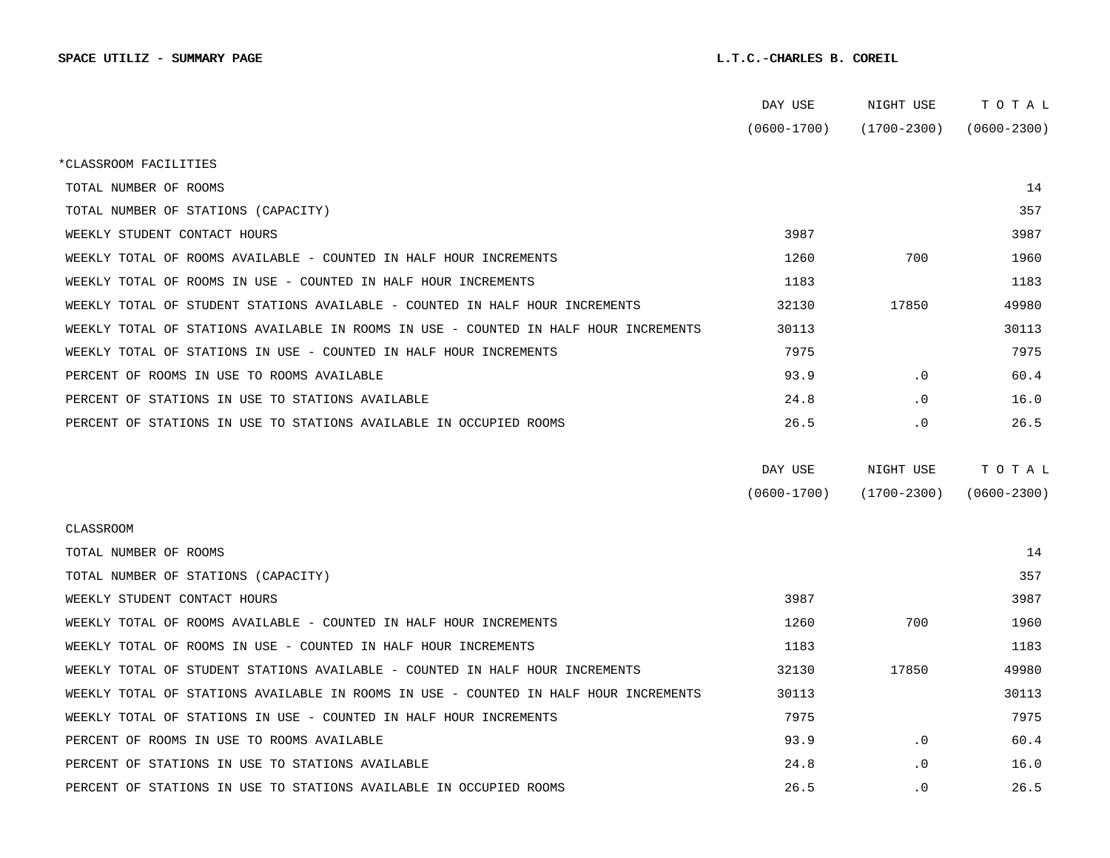|                                                                                      | DAY USE         | NIGHT USE       | TOTAL           |
|--------------------------------------------------------------------------------------|-----------------|-----------------|-----------------|
|                                                                                      | $(0600 - 1700)$ | $(1700 - 2300)$ | $(0600 - 2300)$ |
| *CLASSROOM FACILITIES                                                                |                 |                 |                 |
| TOTAL NUMBER OF ROOMS                                                                |                 |                 | 14              |
| TOTAL NUMBER OF STATIONS (CAPACITY)                                                  |                 |                 | 357             |
| WEEKLY STUDENT CONTACT HOURS                                                         | 3987            |                 | 3987            |
| WEEKLY TOTAL OF ROOMS AVAILABLE - COUNTED IN HALF HOUR INCREMENTS                    | 1260            | 700             | 1960            |
| WEEKLY TOTAL OF ROOMS IN USE - COUNTED IN HALF HOUR INCREMENTS                       | 1183            |                 | 1183            |
| WEEKLY TOTAL OF STUDENT STATIONS AVAILABLE - COUNTED IN HALF HOUR INCREMENTS         | 32130           | 17850           | 49980           |
| WEEKLY TOTAL OF STATIONS AVAILABLE IN ROOMS IN USE - COUNTED IN HALF HOUR INCREMENTS | 30113           |                 | 30113           |
| WEEKLY TOTAL OF STATIONS IN USE - COUNTED IN HALF HOUR INCREMENTS                    | 7975            |                 | 7975            |
| PERCENT OF ROOMS IN USE TO ROOMS AVAILABLE                                           | 93.9            | $\cdot$ 0       | 60.4            |
| PERCENT OF STATIONS IN USE TO STATIONS AVAILABLE                                     | 24.8            | $\cdot$ 0       | 16.0            |
| PERCENT OF STATIONS IN USE TO STATIONS AVAILABLE IN OCCUPIED ROOMS                   | 26.5            | $\cdot$ 0       | 26.5            |
|                                                                                      |                 |                 |                 |
|                                                                                      | DAY USE         | NIGHT USE       | TOTAL           |
|                                                                                      | $(0600 - 1700)$ | $(1700 - 2300)$ | $(0600 - 2300)$ |
| CLASSROOM                                                                            |                 |                 |                 |
| TOTAL NUMBER OF ROOMS                                                                |                 |                 | 14              |
| TOTAL NUMBER OF STATIONS (CAPACITY)                                                  |                 |                 | 357             |
| WEEKLY STUDENT CONTACT HOURS                                                         | 3987            |                 | 3987            |
| WEEKLY TOTAL OF ROOMS AVAILABLE - COUNTED IN HALF HOUR INCREMENTS                    | 1260            | 700             | 1960            |
| WEEKLY TOTAL OF ROOMS IN USE - COUNTED IN HALF HOUR INCREMENTS                       | 1183            |                 | 1183            |
| WEEKLY TOTAL OF STUDENT STATIONS AVAILABLE - COUNTED IN HALF HOUR INCREMENTS         | 32130           | 17850           | 49980           |
| WEEKLY TOTAL OF STATIONS AVAILABLE IN ROOMS IN USE - COUNTED IN HALF HOUR INCREMENTS | 30113           |                 | 30113           |
| WEEKLY TOTAL OF STATIONS IN USE - COUNTED IN HALF HOUR INCREMENTS                    | 7975            |                 | 7975            |
| PERCENT OF ROOMS IN USE TO ROOMS AVAILABLE                                           | 93.9            | $\cdot$ 0       | 60.4            |
| PERCENT OF STATIONS IN USE TO STATIONS AVAILABLE                                     | 24.8            | $\cdot$ 0       | 16.0            |
| PERCENT OF STATIONS IN USE TO STATIONS AVAILABLE IN OCCUPIED ROOMS                   | 26.5            | $\cdot$ 0       | 26.5            |